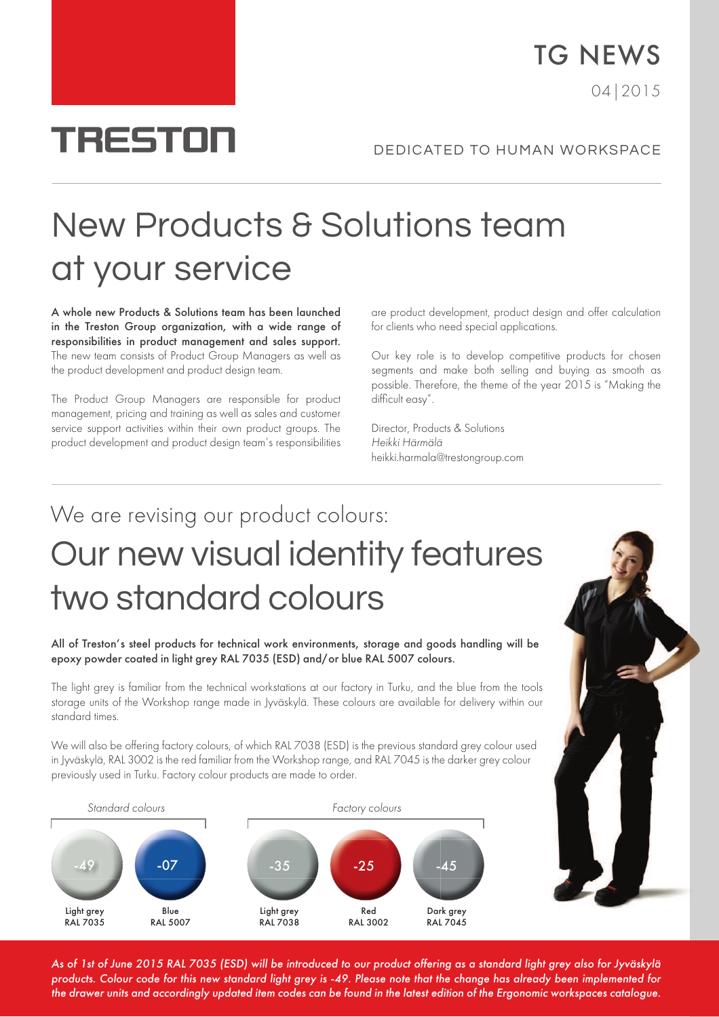# **TRESTON**

TG NEWS

04|2015

## New Products & Solutions team at your service

A whole new Products & Solutions team has been launched in the Treston Group organization, with a wide range of responsibilities in product management and sales support. The new team consists of Product Group Managers as well as the product development and product design team.

The Product Group Managers are responsible for product management, pricing and training as well as sales and customer service support activities within their own product groups. The product development and product design team's responsibilities

are product development, product design and offer calculation for clients who need special applications.

Our key role is to develop competitive products for chosen segments and make both selling and buying as smooth as possible. Therefore, the theme of the year 2015 is "Making the difficult easy".

Director, Products & Solutions Heikki Härmälä heikki.harmala@trestongroup.com

## We are revising our product colours: Our new visual identity features two standard colours

All of Treston's steel products for technical work environments, storage and goods handling will be epoxy powder coated in light grey RAL 7035 (ESD) and/or blue RAL 5007 colours.

The light grey is familiar from the technical workstations at our factory in Turku, and the blue from the tools storage units of the Workshop range made in Jyväskylä. These colours are available for delivery within our standard times.

We will also be offering factory colours, of which RAL 7038 (ESD) is the previous standard grey colour used in Jyväskylä, RAL 3002 is the red familiar from the Workshop range, and RAL 7045 is the darker grey colour previously used in Turku. Factory colour products are made to order.





As of 1st of June 2015 RAL 7035 (ESD) will be introduced to our product offering as a standard light grey also for Jyväskylä products. Colour code for this new standard light grey is -49. Please note that the change has already been implemented for the drawer units and accordingly updated item codes can be found in the latest edition of the Ergonomic workspaces catalogue.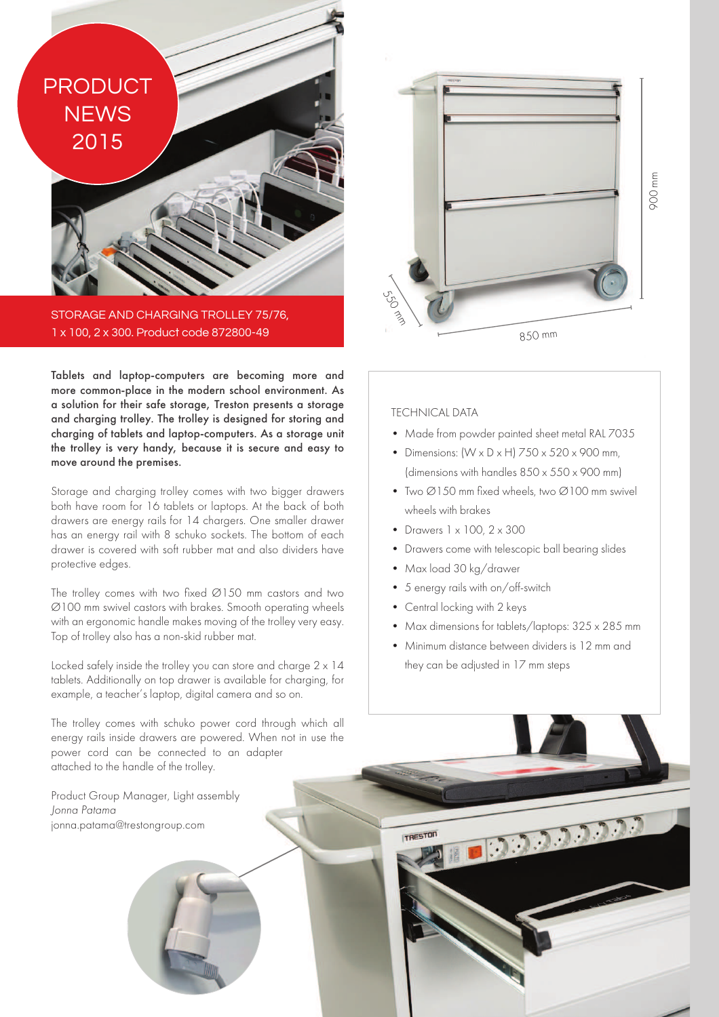**PRODUCT NEWS** 2015

**STAGE AND CHARGING TROLLEY 75/76.** 1 x 100, 2 x 300. Product code 872800-49

Tablets and laptop-computers are becoming more and more common-place in the modern school environment. As a solution for their safe storage, Treston presents a storage and charging trolley. The trolley is designed for storing and charging of tablets and laptop-computers. As a storage unit the trolley is very handy, because it is secure and easy to move around the premises.

Storage and charging trolley comes with two bigger drawers both have room for 16 tablets or laptops. At the back of both drawers are energy rails for 14 chargers. One smaller drawer has an energy rail with 8 schuko sockets. The bottom of each drawer is covered with soft rubber mat and also dividers have protective edges.

The trolley comes with two fixed Ø150 mm castors and two Ø100 mm swivel castors with brakes. Smooth operating wheels with an ergonomic handle makes moving of the trolley very easy. Top of trolley also has a non-skid rubber mat.

Locked safely inside the trolley you can store and charge 2 x 14 tablets. Additionally on top drawer is available for charging, for example, a teacher's laptop, digital camera and so on.

The trolley comes with schuko power cord through which all energy rails inside drawers are powered. When not in use the power cord can be connected to an adapter attached to the handle of the trolley.

Product Group Manager, Light assembly Jonna Patama jonna.patama@trestongroup.com



### TECHNICAL DATA

- Made from powder painted sheet metal RAL 7035
- Dimensions:  $(W \times D \times H)$  750  $\times$  520  $\times$  900 mm, (dimensions with handles 850 x 550 x 900 mm)
- Two Ø150 mm fixed wheels, two Ø100 mm swivel wheels with brakes
- Drawers 1 x 100, 2 x 300
- Drawers come with telescopic ball bearing slides
- Max load 30 kg/drawer
- 5 energy rails with on/off-switch
- Central locking with 2 keys

TRESTON

• Max dimensions for tablets/laptops: 325 x 285 mm

103333333

• Minimum distance between dividers is 12 mm and they can be adjusted in 17 mm steps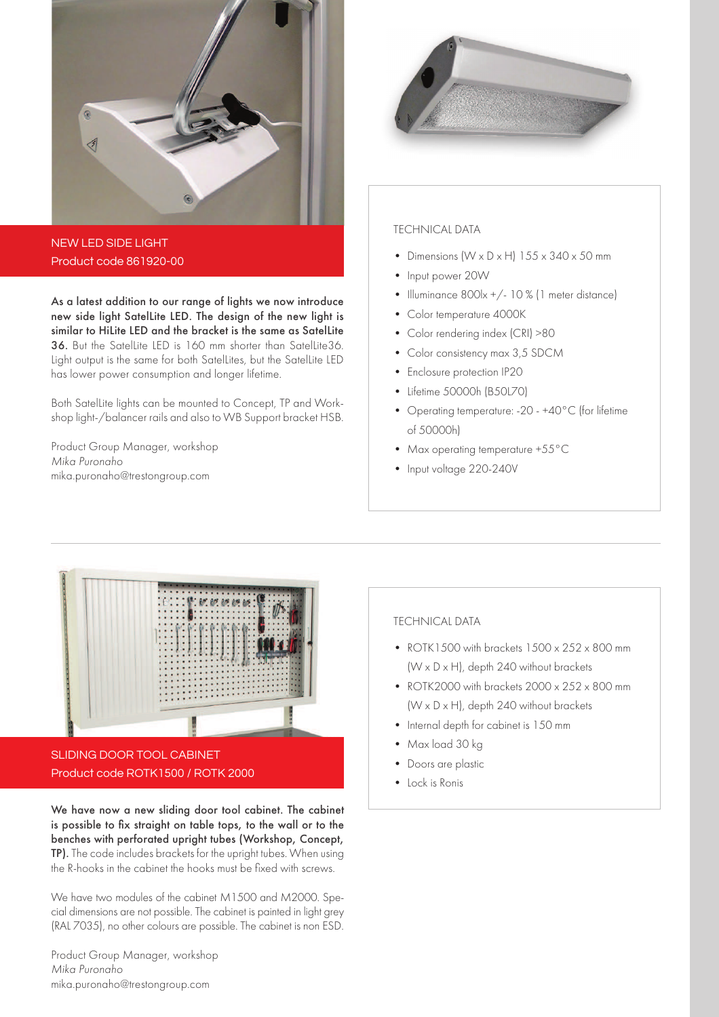

NEW LED SIDE LIGHT Product code 861920-00

As a latest addition to our range of lights we now introduce new side light SatelLite LED. The design of the new light is similar to HiLite LED and the bracket is the same as SatelLite 36. But the SatelLite LED is 160 mm shorter than SatelLite36. Light output is the same for both SatelLites, but the SatelLite LED has lower power consumption and longer lifetime.

Both SatelLite lights can be mounted to Concept, TP and Workshop light-/balancer rails and also to WB Support bracket HSB.

Product Group Manager, workshop Mika Puronaho mika.puronaho@trestongroup.com



### TECHNICAL DATA

- Dimensions  $(W \times D \times H)$  155  $\times$  340  $\times$  50 mm
- Input power 20W
- Illuminance 800lx +/- 10 % (1 meter distance)
- Color temperature 4000K
- Color rendering index (CRI) >80
- Color consistency max 3,5 SDCM
- Enclosure protection IP20
- Lifetime 50000h (B50L70)
- Operating temperature: -20 +40°C (for lifetime of 50000h)
- Max operating temperature +55°C
- Input voltage 220-240V



SLIDING DOOR TOOL CABINET Product code ROTK1500 / ROTK 2000

We have now a new sliding door tool cabinet. The cabinet is possible to fix straight on table tops, to the wall or to the benches with perforated upright tubes (Workshop, Concept, TP). The code includes brackets for the upright tubes. When using the R-hooks in the cabinet the hooks must be fixed with screws.

We have two modules of the cabinet M1500 and M2000. Special dimensions are not possible. The cabinet is painted in light grey (RAL 7035), no other colours are possible. The cabinet is non ESD.

Product Group Manager, workshop Mika Puronaho mika.puronaho@trestongroup.com

### TECHNICAL DATA

- ROTK1500 with brackets  $1500 \times 252 \times 800$  mm  $(W \times D \times H)$ , depth 240 without brackets
- ROTK2000 with brackets 2000 x 252 x 800 mm  $(W \times D \times H)$ , depth 240 without brackets
- Internal depth for cabinet is 150 mm
- Max load 30 kg
- Doors are plastic
- Lock is Ronis